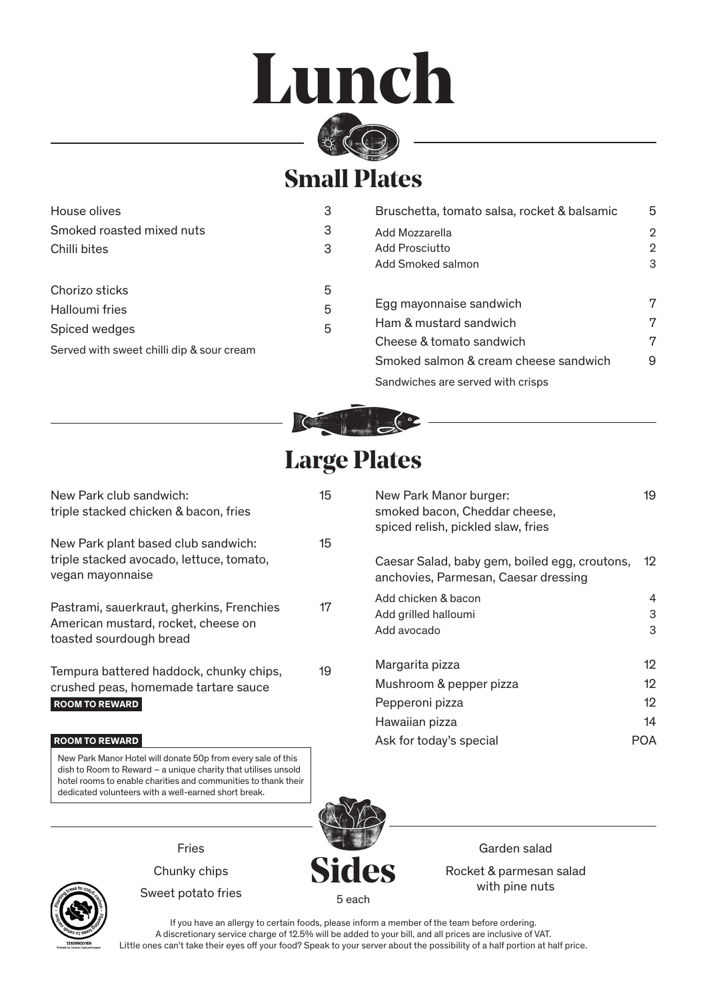## **Lunch**



## **Small Plates**

| House olives                                               | 3 | Bruschetta, tomato salsa, rocket & balsamic | 5            |
|------------------------------------------------------------|---|---------------------------------------------|--------------|
| Smoked roasted mixed nuts                                  | 3 | Add Mozzarella                              | $\mathbf{2}$ |
| Chilli bites                                               | 3 | Add Prosciutto                              | 2            |
|                                                            |   | Add Smoked salmon                           | 3            |
| Chorizo sticks                                             | 5 |                                             |              |
| Halloumi fries                                             | 5 | Egg mayonnaise sandwich                     | 7            |
| Spiced wedges<br>Served with sweet chilli dip & sour cream | 5 | Ham & mustard sandwich                      | 7            |
|                                                            |   | Cheese & tomato sandwich                    | 7            |
|                                                            |   | Smoked salmon & cream cheese sandwich       | 9            |
|                                                            |   | Sandwiches are served with crisps           |              |



## **Large Plates**

| New Park club sandwich:<br>triple stacked chicken & bacon, fries                                            | 15 | New Park Manor burger:<br>smoked bacon, Cheddar cheese,<br>spiced relish, pickled slaw, fries | 19                   |
|-------------------------------------------------------------------------------------------------------------|----|-----------------------------------------------------------------------------------------------|----------------------|
| New Park plant based club sandwich:<br>triple stacked avocado, lettuce, tomato,<br>vegan mayonnaise         | 15 | Caesar Salad, baby gem, boiled egg, croutons,<br>anchovies, Parmesan, Caesar dressing         | 12                   |
| Pastrami, sauerkraut, gherkins, Frenchies<br>American mustard, rocket, cheese on<br>toasted sourdough bread | 17 | Add chicken & bacon<br>Add grilled halloumi<br>Add avocado                                    | 4<br>3<br>3          |
| Tempura battered haddock, chunky chips,<br>crushed peas, homemade tartare sauce<br><b>ROOM TO REWARD</b>    | 19 | Margarita pizza<br>Mushroom & pepper pizza<br>Pepperoni pizza<br>Hawaiian pizza               | 12<br>12<br>12<br>14 |
| <b>ROOM TO REWARD</b>                                                                                       |    | Ask for today's special                                                                       | <b>POA</b>           |

New Park Manor Hotel will donate 50p from every sale of this dish to Room to Reward – a unique charity that utilises unsold hotel rooms to enable charities and communities to thank their dedicated volunteers with a well-earned short break.



Garden salad Rocket & parmesan salad with pine nuts



Chunky chips

Fries

Sweet potato fries

**Sides** 5 each

If you have an allergy to certain foods, please inform a member of the team before ordering. A discretionary service charge of 12.5% will be added to your bill, and all prices are inclusive of VAT. Little ones can't take their eyes off your food? Speak to your server about the possibility of a half portion at half price.